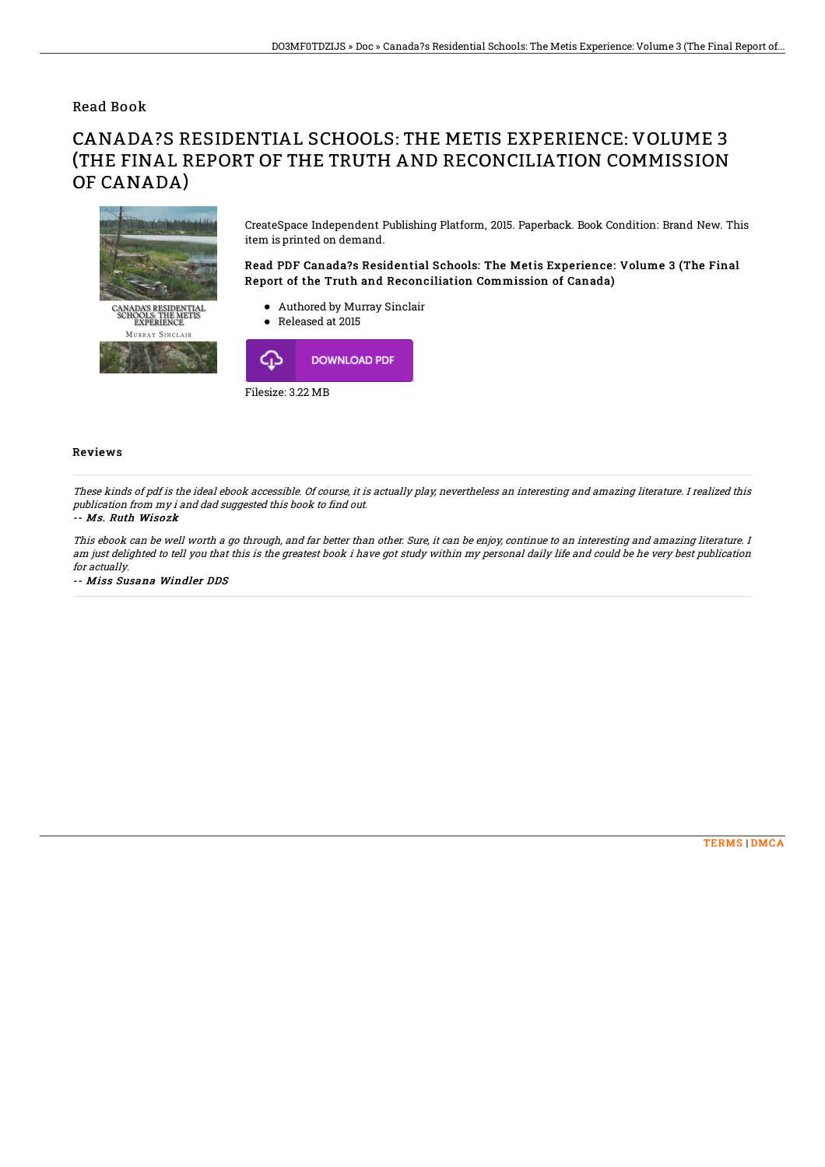Read Book

## CANADA?S RESIDENTIAL SCHOOLS: THE METIS EXPERIENCE: VOLUME 3 (THE FINAL REPORT OF THE TRUTH AND RECONCILIATION COMMISSION OF CANADA)



CreateSpace Independent Publishing Platform, 2015. Paperback. Book Condition: Brand New. This item is printed on demand.

Read PDF Canada?s Residential Schools: The Metis Experience: Volume 3 (The Final Report of the Truth and Reconciliation Commission of Canada)

- Authored by Murray Sinclair
- Released at 2015



## Reviews

These kinds of pdf is the ideal ebook accessible. Of course, it is actually play, nevertheless an interesting and amazing literature. I realized this publication from my i and dad suggested this book to find out.

## -- Ms. Ruth Wisozk

This ebook can be well worth <sup>a</sup> go through, and far better than other. Sure, it can be enjoy, continue to an interesting and amazing literature. I am just delighted to tell you that this is the greatest book i have got study within my personal daily life and could be he very best publication for actually.

-- Miss Susana Windler DDS